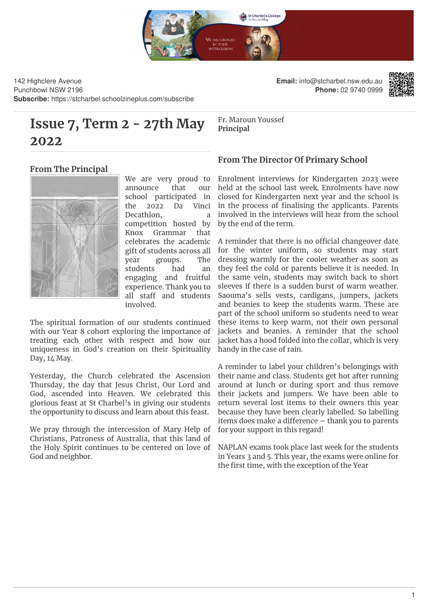

142 Highclere Avenue Punchbowl NSW 2196 **Subscribe:** https://stcharbel.schoolzineplus.com/subscribe

# **Issue 7, Term 2 - 27th May 2022**

**Email:** info@stcharbel.nsw.edu.au **Phone:** 02 9740 0999



Fr. Maroun Youssef **Principal**

#### **From The Principal**



We are very proud to announce that our school participated in the 2022 Da Vinci Decathlon, a competition hosted by Knox Grammar that celebrates the academic gift of students across all year groups. The students had an engaging and fruitful experience. Thank you to all staff and students involved.

The spiritual formation of our students continued with our Year 8 cohort exploring the importance of treating each other with respect and how our uniqueness in God's creation on their Spirituality Day, 14 May.

Yesterday, the Church celebrated the Ascension Thursday, the day that Jesus Christ, Our Lord and God, ascended into Heaven. We celebrated this glorious feast at St Charbel's in giving our students the opportunity to discuss and learn about this feast.

We pray through the intercession of Mary Help of Christians, Patroness of Australia, that this land of the Holy Spirit continues to be centered on love of God and neighbor.

#### **From The Director Of Primary School**

Enrolment interviews for Kindergarten 2023 were held at the school last week. Enrolments have now closed for Kindergarten next year and the school is in the process of finalising the applicants. Parents involved in the interviews will hear from the school by the end of the term.

A reminder that there is no official changeover date for the winter uniform, so students may start dressing warmly for the cooler weather as soon as they feel the cold or parents believe it is needed. In the same vein, students may switch back to short sleeves if there is a sudden burst of warm weather. Saouma's sells vests, cardigans, jumpers, jackets and beanies to keep the students warm. These are part of the school uniform so students need to wear these items to keep warm, not their own personal jackets and beanies. A reminder that the school jacket has a hood folded into the collar, which is very handy in the case of rain.

A reminder to label your children's belongings with their name and class. Students get hot after running around at lunch or during sport and thus remove their jackets and jumpers. We have been able to return several lost items to their owners this year because they have been clearly labelled. So labelling items does make a difference - thank you to parents for your support in this regard!

NAPLAN exams took place last week for the students in Years 3 and 5. This year, the exams were online for the first time, with the exception of the Year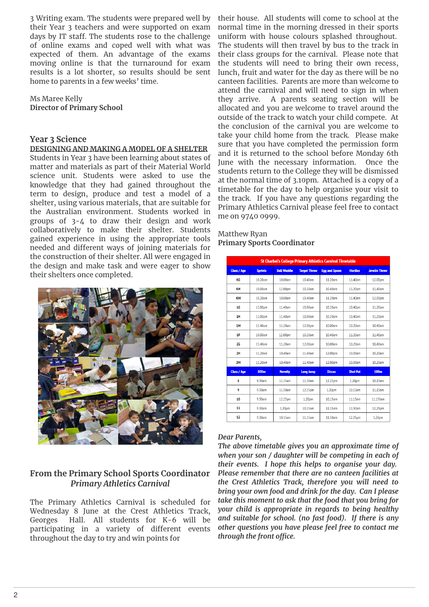3 Writing exam. The students were prepared well by their Year 3 teachers and were supported on exam days by IT staff. The students rose to the challenge of online exams and coped well with what was expected of them. An advantage of the exams moving online is that the turnaround for exam results is a lot shorter, so results should be sent home to parents in a few weeks' time.

Ms Maree Kelly **Director of Primary School**

#### **Year 3 Science**

#### **DESIGNING AND MAKING A MODEL OF A SHELTER**

Students in Year 3 have been learning about states of matter and materials as part of their Material World science unit. Students were asked to use the knowledge that they had gained throughout the term to design, produce and test a model of a shelter, using various materials, that are suitable for the Australian environment. Students worked in groups of 3-4 to draw their design and work collaboratively to make their shelter. Students gained experience in using the appropriate tools needed and different ways of joining materials for the construction of their shelter. All were engaged in the design and make task and were eager to show their shelters once completed.



#### **From the Primary School Sports Coordinator** *Primary Athletics Carnival*

The Primary Athletics Carnival is scheduled for Wednesday 8 June at the Crest Athletics Track, Georges Hall. All students for K-6 will be participating in a variety of different events throughout the day to try and win points for

their house. All students will come to school at the normal time in the morning dressed in their sports uniform with house colours splashed throughout. The students will then travel by bus to the track in their class groups for the carnival. Please note that the students will need to bring their own recess, lunch, fruit and water for the day as there will be no canteen facilities. Parents are more than welcome to attend the carnival and will need to sign in when they arrive. A parents seating section will be allocated and you are welcome to travel around the outside of the track to watch your child compete. At the conclusion of the carnival you are welcome to take your child home from the track. Please make sure that you have completed the permission form and it is returned to the school before Monday 6th June with the necessary information. Once the students return to the College they will be dismissed at the normal time of 3.10pm. Attached is a copy of a timetable for the day to help organise your visit to the track. If you have any questions regarding the Primary Athletics Carnival please feel free to contact me on 9740 0999.

#### Matthew Ryan **Primary Sports Coordinator**

| <b>St Charbel's College Primary Athletics Carnival Timetable</b> |                |                    |                     |                      |                 |                      |
|------------------------------------------------------------------|----------------|--------------------|---------------------|----------------------|-----------------|----------------------|
| <b>Class / Age</b>                                               | <b>Sprints</b> | <b>Ball Waddle</b> | <b>Target Throw</b> | <b>Egg and Spoon</b> | <b>Hurdles</b>  | <b>Javelin Throw</b> |
| КG                                                               | $10.20$ am     | 10.00am            | $10.40$ am          | 11.20am              | 11.40am         | 12.00pm              |
| KH                                                               | 10.00am        | 12.00pm            | 10.20am             | 10.40am              | 11.20am         | 11.40am              |
| КM                                                               | 10.20am        | 10.00am            | $10.40$ am          | 11.20am              | 11.40am         | 12.00pm              |
| <b>1G</b>                                                        | 12.00pm        | 11.40am            | 10.00am             | 10.20am              | 10.40am         | 11.20am              |
| 1H                                                               | 12.00pm        | 11.40am            | 10.00am             | 10.20am              | 10.40am         | 11.20am              |
| 1M                                                               | 11.40am        | 11.20am            | 12.00pm             | 10.00am              | 10.20am         | 10.40am              |
| 1P                                                               | 10.00am        | 12.00pm            | 10.20am             | 10.40am              | 11.20am         | 11.40am              |
| <b>2G</b>                                                        | 11.40am        | 11.20am            | 12.00pm             | 10.00am              | 10.20am         | 10.40am              |
| 2H                                                               | 11.20am        | 10.40am            | 11.40am             | 12.00pm              | 10.00am         | 10.20am              |
| 2M                                                               | 11.20am        | 10.40am            | 11.40am             | 12.00pm              | 10.00am         | 10.20am              |
| <b>Class / Age</b>                                               | 800m           | <b>Novelty</b>     | <b>Long Jump</b>    | <b>Discus</b>        | <b>Shot Put</b> | <b>100m</b>          |
| 8                                                                | 9.30am         | 11.15am            | 11.50am             | 12.25pm              | 1.20pm          | 10.15am              |
| 9                                                                | 9.30am         | 11.50am            | 12.25pm             | 1.20pm               | 10.15am         | 11.15am              |
| 10                                                               | 9.30am         | 12.25pm            | 1.20pm              | 10,15am              | 11.15am         | 11.150am             |
| 11                                                               | 9.30am         | 1.20pm             | 10.15am             | 11.15am              | 11.50am         | 12.25pm              |
| 12                                                               | 9.30am         | 10.15am            | 11.15am             | 11.50am              | 12.25pm         | 1,20pm               |

#### *Dear Parents,*

*The above timetable gives you an approximate time of when your son / daughter will be competing in each of their events. I hope this helps to organise your day. Please remember that there are no canteen facilities at the Crest Athletics Track, therefore you will need to bring your own food and drink for the day. Can I please take this moment to ask that the food that you bring for your child is appropriate in regards to being healthy and suitable for school. (no fast food). If there is any other questions you have please feel free to contact me through the front office.*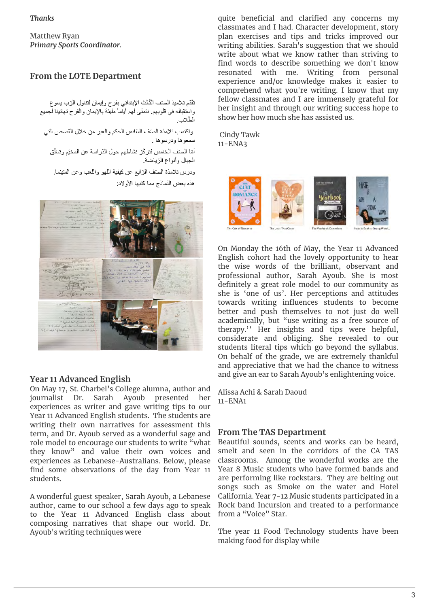*Thanks*

Matthew Ryan *Primary Sports Coordinator.*

### **From the LOTE Department**

تَقَدّم تلاميذ الصّف الثّالث الإبتدائي بفرح وإيمان لتناول الرّب يسوع واستقباله في قلوبهم. نتمنّى لهم أياماً مليئة بالإيمان والفرح تهانينا لجميع الطّلاب واكتسب تلامذة الصنف السادس الحكم والعبر من خلال القصص التي سمعوها ودرسوها . أمّا الصّف الخامس فتركّز نشاطهم حول الدّراسة عن المخيّم وتسَلّق الجبال وأنواع الزياضة ودرس تلامذة الصَّف الرَّابع عن كيفية اللَّهو واللَّعب وعن السَّينما. هذه بعض النّماذج مما كتبها الأولاد



#### **Year 11 Advanced English**

On May 17, St. Charbel's College alumna, author and journalist Dr. Sarah Ayoub presented her experiences as writer and gave writing tips to our Year 11 Advanced English students. The students are writing their own narratives for assessment this term, and Dr. Ayoub served as a wonderful sage and role model to encourage our students to write "what they know" and value their own voices and experiences as Lebanese-Australians. Below, please find some observations of the day from Year 11 students.

A wonderful guest speaker, Sarah Ayoub, a Lebanese author, came to our school a few days ago to speak to the Year 11 Advanced English class about composing narratives that shape our world. Dr. Ayoub's writing techniques were

quite beneficial and clarified any concerns my classmates and I had. Character development, story plan exercises and tips and tricks improved our writing abilities. Sarah's suggestion that we should write about what we know rather than striving to find words to describe something we don't know resonated with me. Writing from personal experience and/or knowledge makes it easier to comprehend what you're writing. I know that my fellow classmates and I are immensely grateful for her insight and through our writing success hope to show her how much she has assisted us.

 Cindy Tawk 11-ENA3



On Monday the 16th of May, the Year 11 Advanced English cohort had the lovely opportunity to hear the wise words of the brilliant, observant and professional author, Sarah Ayoub. She is most definitely a great role model to our community as she is 'one of us'. Her perceptions and attitudes towards writing influences students to become better and push themselves to not just do well academically, but "use writing as a free source of therapy.'' Her insights and tips were helpful, considerate and obliging. She revealed to our students literal tips which go beyond the syllabus. On behalf of the grade, we are extremely thankful and appreciative that we had the chance to witness and give an ear to Sarah Ayoub's enlightening voice.

Alissa Achi & Sarah Daoud 11-ENA1

#### **From The TAS Department**

Beautiful sounds, scents and works can be heard, smelt and seen in the corridors of the CA TAS classrooms. Among the wonderful works are the Year 8 Music students who have formed bands and are performing like rockstars. They are belting out songs such as Smoke on the water and Hotel California. Year 7-12 Music students participated in a Rock band Incursion and treated to a performance from a "Voice" Star.

The year 11 Food Technology students have been making food for display while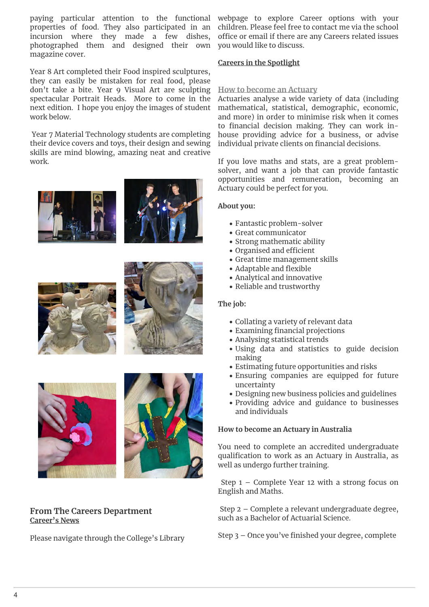properties of food. They also participated in an incursion where they made a few dishes, photographed them and designed their own magazine cover.

Year 8 Art completed their Food inspired sculptures, they can easily be mistaken for real food, please don't take a bite. Year 9 Visual Art are sculpting spectacular Portrait Heads. More to come in the next edition. I hope you enjoy the images of student work below.

 Year 7 Material Technology students are completing their device covers and toys, their design and sewing skills are mind blowing, amazing neat and creative work.













#### **From The Careers Department Career's News**

Please navigate through the College's Library

paying particular attention to the functional webpage to explore Career options with your children. Please feel free to contact me via the school office or email if there are any Careers related issues you would like to discuss.

#### **Careers in the Spotlight**

#### **How to become an Actuary**

Actuaries analyse a wide variety of data (including mathematical, statistical, demographic, economic, and more) in order to minimise risk when it comes to financial decision making. They can work inhouse providing advice for a business, or advise individual private clients on financial decisions.

If you love maths and stats, are a great problemsolver, and want a job that can provide fantastic opportunities and remuneration, becoming an Actuary could be perfect for you.

#### **About you:**

- Fantastic problem-solver
- Great communicator
- Strong mathematic ability
- Organised and efficient
- Great time management skills
- Adaptable and flexible
- Analytical and innovative
- Reliable and trustworthy

#### **The job:**

- Collating a variety of relevant data
- Examining financial projections
- Analysing statistical trends
- Using data and statistics to guide decision making
- Estimating future opportunities and risks
- Ensuring companies are equipped for future uncertainty
- Designing new business policies and guidelines
- Providing advice and guidance to businesses and individuals

#### **How to become an Actuary in Australia**

You need to complete an accredited undergraduate qualification to work as an Actuary in Australia, as well as undergo further training.

 Step 1 – Complete Year 12 with a strong focus on English and Maths.

 Step 2 – Complete a relevant undergraduate degree, such as a Bachelor of Actuarial Science.

Step 3 – Once you've finished your degree, complete